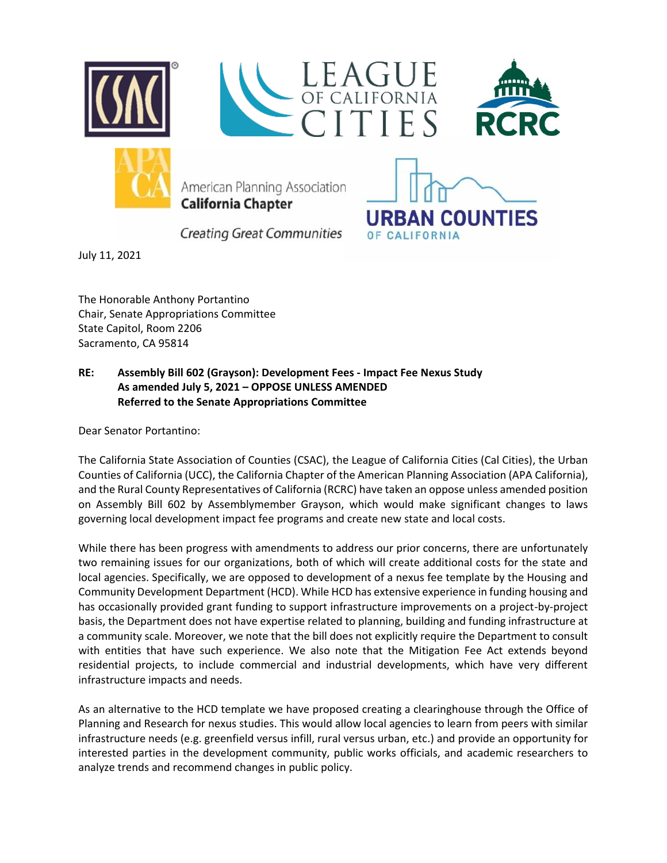



American Planning Association **California Chapter** 



**Creating Great Communities** 

July 11, 2021

The Honorable Anthony Portantino Chair, Senate Appropriations Committee State Capitol, Room 2206 Sacramento, CA 95814

## **RE: Assembly Bill 602 (Grayson): Development Fees - Impact Fee Nexus Study As amended July 5, 2021 – OPPOSE UNLESS AMENDED Referred to the Senate Appropriations Committee**

Dear Senator Portantino:

The California State Association of Counties (CSAC), the League of California Cities (Cal Cities), the Urban Counties of California (UCC), the California Chapter of the American Planning Association (APA California), and the Rural County Representatives of California (RCRC) have taken an oppose unless amended position on Assembly Bill 602 by Assemblymember Grayson, which would make significant changes to laws governing local development impact fee programs and create new state and local costs.

While there has been progress with amendments to address our prior concerns, there are unfortunately two remaining issues for our organizations, both of which will create additional costs for the state and local agencies. Specifically, we are opposed to development of a nexus fee template by the Housing and Community Development Department (HCD). While HCD has extensive experience in funding housing and has occasionally provided grant funding to support infrastructure improvements on a project-by-project basis, the Department does not have expertise related to planning, building and funding infrastructure at a community scale. Moreover, we note that the bill does not explicitly require the Department to consult with entities that have such experience. We also note that the Mitigation Fee Act extends beyond residential projects, to include commercial and industrial developments, which have very different infrastructure impacts and needs.

As an alternative to the HCD template we have proposed creating a clearinghouse through the Office of Planning and Research for nexus studies. This would allow local agencies to learn from peers with similar infrastructure needs (e.g. greenfield versus infill, rural versus urban, etc.) and provide an opportunity for interested parties in the development community, public works officials, and academic researchers to analyze trends and recommend changes in public policy.